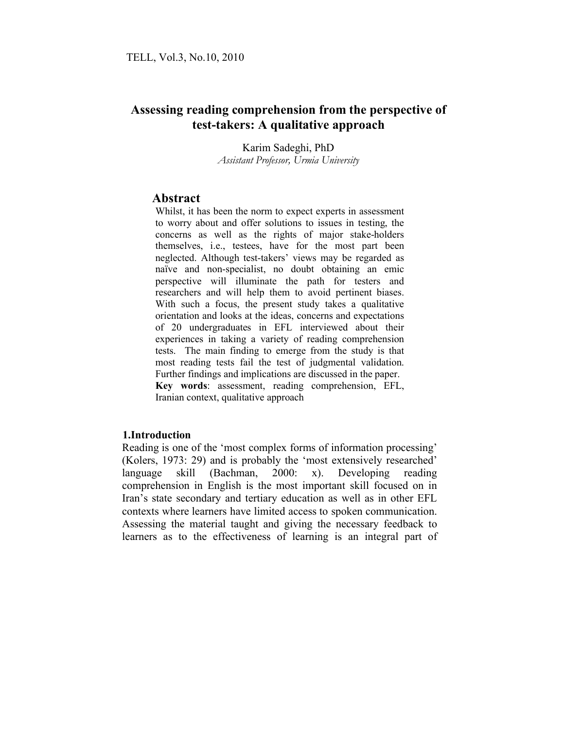# **Assessing reading comprehension from the perspective of test-takers: A qualitative approach**

Karim Sadeghi, PhD *Assistant Professor, Urmia University*

## **Abstract**

Whilst, it has been the norm to expect experts in assessment to worry about and offer solutions to issues in testing, the concerns as well as the rights of major stake-holders themselves, i.e., testees, have for the most part been neglected. Although test-takers' views may be regarded as naïve and non-specialist, no doubt obtaining an emic perspective will illuminate the path for testers and researchers and will help them to avoid pertinent biases. With such a focus, the present study takes a qualitative orientation and looks at the ideas, concerns and expectations of 20 undergraduates in EFL interviewed about their experiences in taking a variety of reading comprehension tests. The main finding to emerge from the study is that most reading tests fail the test of judgmental validation. Further findings and implications are discussed in the paper. **Key words**: assessment, reading comprehension, EFL, Iranian context, qualitative approach

## **1.Introduction**

Reading is one of the 'most complex forms of information processing' (Kolers, 1973: 29) and is probably the 'most extensively researched' language skill (Bachman, 2000: x). Developing reading comprehension in English is the most important skill focused on in Iran's state secondary and tertiary education as well as in other EFL contexts where learners have limited access to spoken communication. Assessing the material taught and giving the necessary feedback to learners as to the effectiveness of learning is an integral part of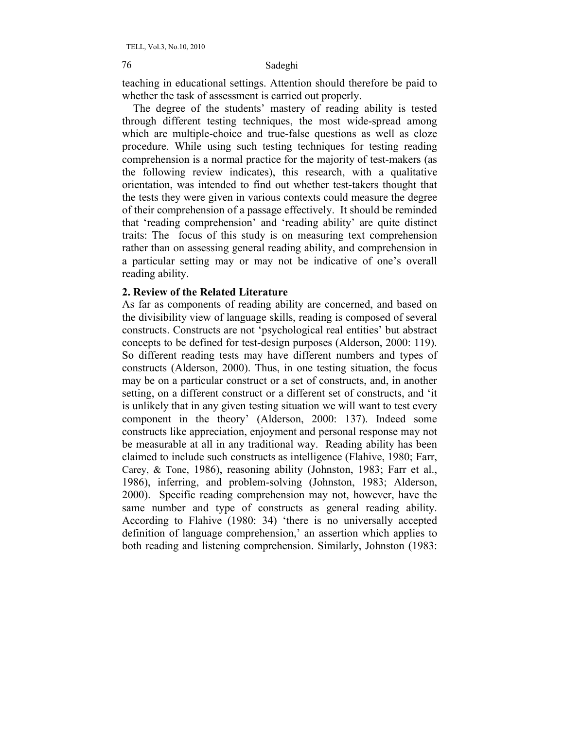teaching in educational settings. Attention should therefore be paid to whether the task of assessment is carried out properly.

 The degree of the students' mastery of reading ability is tested through different testing techniques, the most wide-spread among which are multiple-choice and true-false questions as well as cloze procedure. While using such testing techniques for testing reading comprehension is a normal practice for the majority of test-makers (as the following review indicates), this research, with a qualitative orientation, was intended to find out whether test-takers thought that the tests they were given in various contexts could measure the degree of their comprehension of a passage effectively. It should be reminded that 'reading comprehension' and 'reading ability' are quite distinct traits: The focus of this study is on measuring text comprehension rather than on assessing general reading ability, and comprehension in a particular setting may or may not be indicative of one's overall reading ability.

## **2. Review of the Related Literature**

As far as components of reading ability are concerned, and based on the divisibility view of language skills, reading is composed of several constructs. Constructs are not 'psychological real entities' but abstract concepts to be defined for test-design purposes (Alderson, 2000: 119). So different reading tests may have different numbers and types of constructs (Alderson, 2000). Thus, in one testing situation, the focus may be on a particular construct or a set of constructs, and, in another setting, on a different construct or a different set of constructs, and 'it is unlikely that in any given testing situation we will want to test every component in the theory' (Alderson, 2000: 137). Indeed some constructs like appreciation, enjoyment and personal response may not be measurable at all in any traditional way. Reading ability has been claimed to include such constructs as intelligence (Flahive, 1980; Farr, Carey, & Tone, 1986), reasoning ability (Johnston, 1983; Farr et al., 1986), inferring, and problem-solving (Johnston, 1983; Alderson, 2000). Specific reading comprehension may not, however, have the same number and type of constructs as general reading ability. According to Flahive (1980: 34) 'there is no universally accepted definition of language comprehension,' an assertion which applies to both reading and listening comprehension. Similarly, Johnston (1983: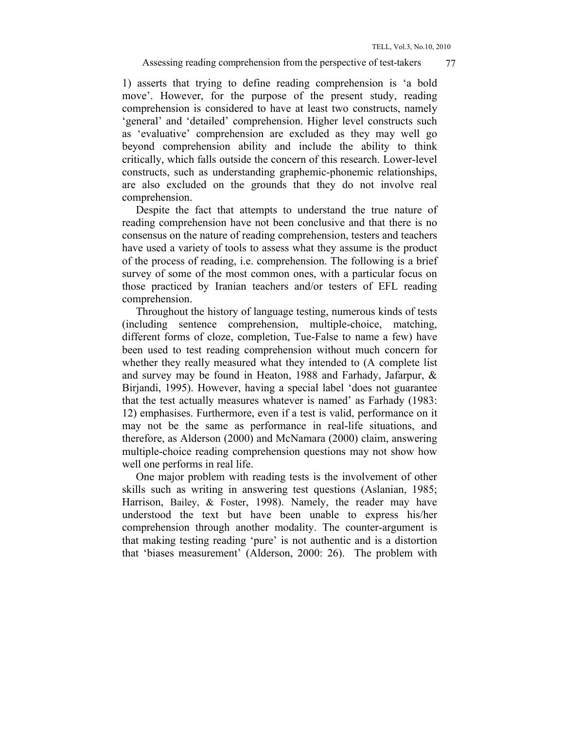#### Assessing reading comprehension from the perspective of test-takers  $\frac{77}{2}$

1) asserts that trying to define reading comprehension is 'a bold move'. However, for the purpose of the present study, reading comprehension is considered to have at least two constructs, namely 'general' and 'detailed' comprehension. Higher level constructs such as 'evaluative' comprehension are excluded as they may well go beyond comprehension ability and include the ability to think critically, which falls outside the concern of this research. Lower-level constructs, such as understanding graphemic-phonemic relationships, are also excluded on the grounds that they do not involve real comprehension.

 Despite the fact that attempts to understand the true nature of reading comprehension have not been conclusive and that there is no consensus on the nature of reading comprehension, testers and teachers have used a variety of tools to assess what they assume is the product of the process of reading, i.e. comprehension. The following is a brief survey of some of the most common ones, with a particular focus on those practiced by Iranian teachers and/or testers of EFL reading comprehension.

 Throughout the history of language testing, numerous kinds of tests (including sentence comprehension, multiple-choice, matching, different forms of cloze, completion, Tue-False to name a few) have been used to test reading comprehension without much concern for whether they really measured what they intended to (A complete list and survey may be found in Heaton, 1988 and Farhady, Jafarpur, & Birjandi, 1995). However, having a special label 'does not guarantee that the test actually measures whatever is named' as Farhady (1983: 12) emphasises. Furthermore, even if a test is valid, performance on it may not be the same as performance in real-life situations, and therefore, as Alderson (2000) and McNamara (2000) claim, answering multiple-choice reading comprehension questions may not show how well one performs in real life.

 One major problem with reading tests is the involvement of other skills such as writing in answering test questions (Aslanian, 1985; Harrison, Bailey, & Foster, 1998). Namely, the reader may have understood the text but have been unable to express his/her comprehension through another modality. The counter-argument is that making testing reading 'pure' is not authentic and is a distortion that 'biases measurement' (Alderson, 2000: 26). The problem with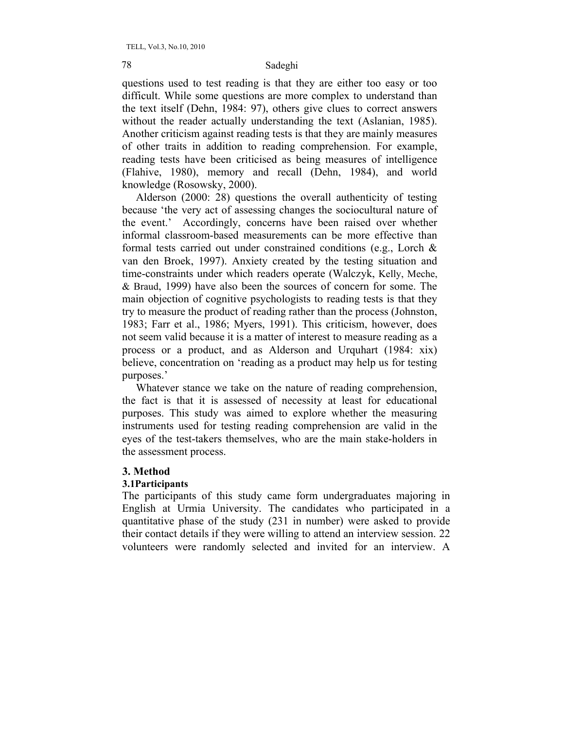questions used to test reading is that they are either too easy or too difficult. While some questions are more complex to understand than the text itself (Dehn, 1984: 97), others give clues to correct answers without the reader actually understanding the text (Aslanian, 1985). Another criticism against reading tests is that they are mainly measures of other traits in addition to reading comprehension. For example, reading tests have been criticised as being measures of intelligence (Flahive, 1980), memory and recall (Dehn, 1984), and world knowledge (Rosowsky, 2000).

 Alderson (2000: 28) questions the overall authenticity of testing because 'the very act of assessing changes the sociocultural nature of the event.' Accordingly, concerns have been raised over whether informal classroom-based measurements can be more effective than formal tests carried out under constrained conditions (e.g., Lorch & van den Broek, 1997). Anxiety created by the testing situation and time-constraints under which readers operate (Walczyk, Kelly, Meche, & Braud, 1999) have also been the sources of concern for some. The main objection of cognitive psychologists to reading tests is that they try to measure the product of reading rather than the process (Johnston, 1983; Farr et al., 1986; Myers, 1991). This criticism, however, does not seem valid because it is a matter of interest to measure reading as a process or a product, and as Alderson and Urquhart (1984: xix) believe, concentration on 'reading as a product may help us for testing purposes.'

 Whatever stance we take on the nature of reading comprehension, the fact is that it is assessed of necessity at least for educational purposes. This study was aimed to explore whether the measuring instruments used for testing reading comprehension are valid in the eyes of the test-takers themselves, who are the main stake-holders in the assessment process.

## **3. Method**

### **3.1Participants**

The participants of this study came form undergraduates majoring in English at Urmia University. The candidates who participated in a quantitative phase of the study (231 in number) were asked to provide their contact details if they were willing to attend an interview session. 22 volunteers were randomly selected and invited for an interview. A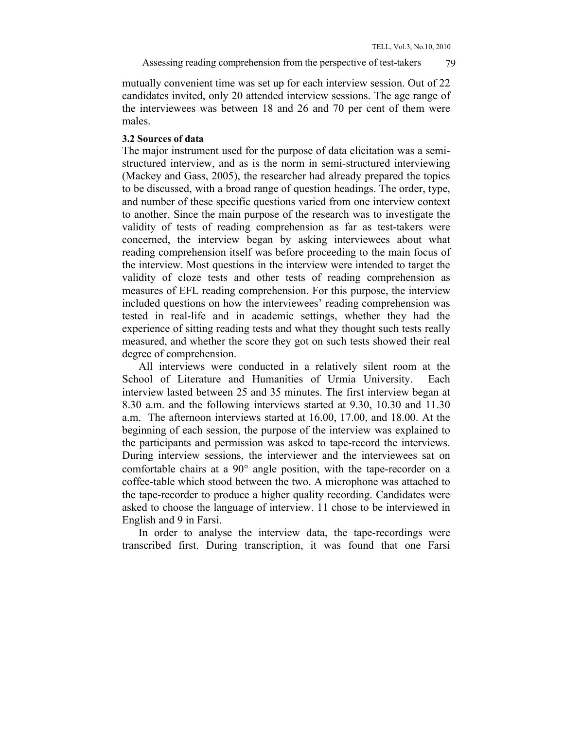mutually convenient time was set up for each interview session. Out of 22 candidates invited, only 20 attended interview sessions. The age range of the interviewees was between 18 and 26 and 70 per cent of them were males.

### **3.2 Sources of data**

The major instrument used for the purpose of data elicitation was a semistructured interview, and as is the norm in semi-structured interviewing (Mackey and Gass, 2005), the researcher had already prepared the topics to be discussed, with a broad range of question headings. The order, type, and number of these specific questions varied from one interview context to another. Since the main purpose of the research was to investigate the validity of tests of reading comprehension as far as test-takers were concerned, the interview began by asking interviewees about what reading comprehension itself was before proceeding to the main focus of the interview. Most questions in the interview were intended to target the validity of cloze tests and other tests of reading comprehension as measures of EFL reading comprehension. For this purpose, the interview included questions on how the interviewees' reading comprehension was tested in real-life and in academic settings, whether they had the experience of sitting reading tests and what they thought such tests really measured, and whether the score they got on such tests showed their real degree of comprehension.

 All interviews were conducted in a relatively silent room at the School of Literature and Humanities of Urmia University. Each interview lasted between 25 and 35 minutes. The first interview began at 8.30 a.m. and the following interviews started at 9.30, 10.30 and 11.30 a.m. The afternoon interviews started at 16.00, 17.00, and 18.00. At the beginning of each session, the purpose of the interview was explained to the participants and permission was asked to tape-record the interviews. During interview sessions, the interviewer and the interviewees sat on comfortable chairs at a  $90^\circ$  angle position, with the tape-recorder on a coffee-table which stood between the two. A microphone was attached to the tape-recorder to produce a higher quality recording. Candidates were asked to choose the language of interview. 11 chose to be interviewed in English and 9 in Farsi.

 In order to analyse the interview data, the tape-recordings were transcribed first. During transcription, it was found that one Farsi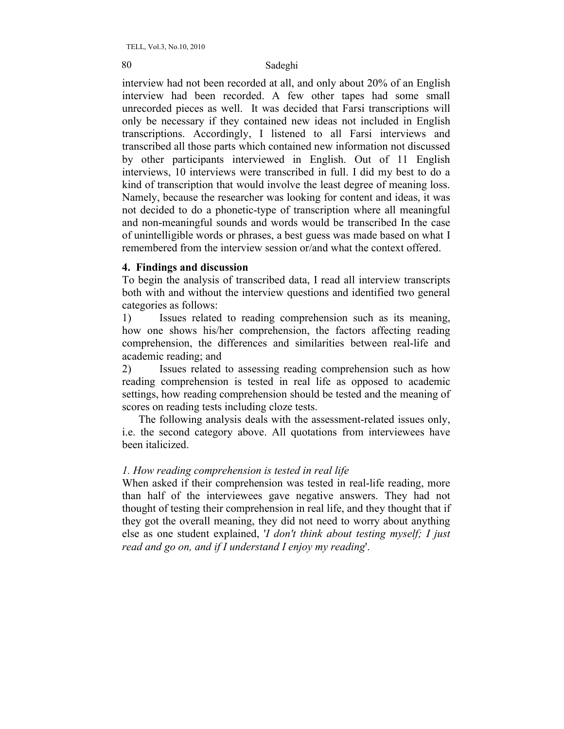interview had not been recorded at all, and only about 20% of an English interview had been recorded. A few other tapes had some small unrecorded pieces as well. It was decided that Farsi transcriptions will only be necessary if they contained new ideas not included in English transcriptions. Accordingly, I listened to all Farsi interviews and transcribed all those parts which contained new information not discussed by other participants interviewed in English. Out of 11 English interviews, 10 interviews were transcribed in full. I did my best to do a kind of transcription that would involve the least degree of meaning loss. Namely, because the researcher was looking for content and ideas, it was not decided to do a phonetic-type of transcription where all meaningful and non-meaningful sounds and words would be transcribed In the case of unintelligible words or phrases, a best guess was made based on what I remembered from the interview session or/and what the context offered.

## **4. Findings and discussion**

To begin the analysis of transcribed data, I read all interview transcripts both with and without the interview questions and identified two general categories as follows:

1) Issues related to reading comprehension such as its meaning, how one shows his/her comprehension, the factors affecting reading comprehension, the differences and similarities between real-life and academic reading; and

2) Issues related to assessing reading comprehension such as how reading comprehension is tested in real life as opposed to academic settings, how reading comprehension should be tested and the meaning of scores on reading tests including cloze tests.

 The following analysis deals with the assessment-related issues only, i.e. the second category above. All quotations from interviewees have been italicized.

## *1. How reading comprehension is tested in real life*

When asked if their comprehension was tested in real-life reading, more than half of the interviewees gave negative answers. They had not thought of testing their comprehension in real life, and they thought that if they got the overall meaning, they did not need to worry about anything else as one student explained, '*I don't think about testing myself; I just read and go on, and if I understand I enjoy my reading*'.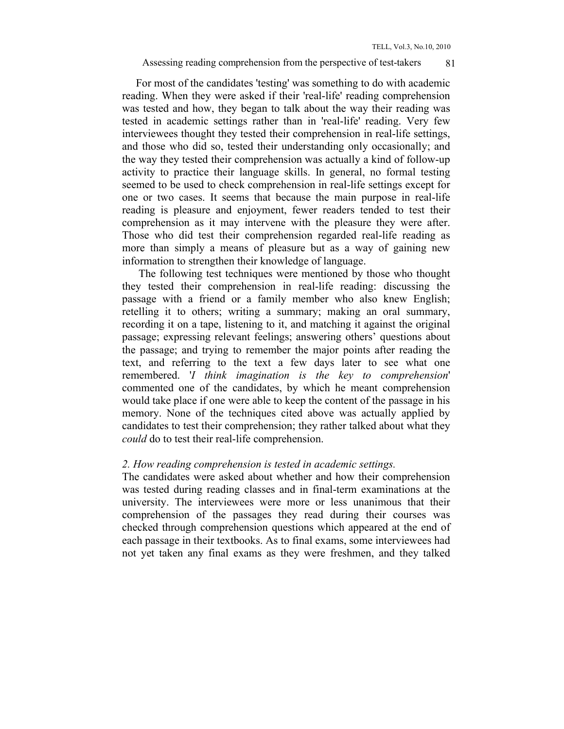## Assessing reading comprehension from the perspective of test-takers 81

 For most of the candidates 'testing' was something to do with academic reading. When they were asked if their 'real-life' reading comprehension was tested and how, they began to talk about the way their reading was tested in academic settings rather than in 'real-life' reading. Very few interviewees thought they tested their comprehension in real-life settings, and those who did so, tested their understanding only occasionally; and the way they tested their comprehension was actually a kind of follow-up activity to practice their language skills. In general, no formal testing seemed to be used to check comprehension in real-life settings except for one or two cases. It seems that because the main purpose in real-life reading is pleasure and enjoyment, fewer readers tended to test their comprehension as it may intervene with the pleasure they were after. Those who did test their comprehension regarded real-life reading as more than simply a means of pleasure but as a way of gaining new information to strengthen their knowledge of language.

 The following test techniques were mentioned by those who thought they tested their comprehension in real-life reading: discussing the passage with a friend or a family member who also knew English; retelling it to others; writing a summary; making an oral summary, recording it on a tape, listening to it, and matching it against the original passage; expressing relevant feelings; answering others' questions about the passage; and trying to remember the major points after reading the text, and referring to the text a few days later to see what one remembered. '*I think imagination is the key to comprehension*' commented one of the candidates, by which he meant comprehension would take place if one were able to keep the content of the passage in his memory. None of the techniques cited above was actually applied by candidates to test their comprehension; they rather talked about what they *could* do to test their real-life comprehension.

## *2. How reading comprehension is tested in academic settings.*

The candidates were asked about whether and how their comprehension was tested during reading classes and in final-term examinations at the university. The interviewees were more or less unanimous that their comprehension of the passages they read during their courses was checked through comprehension questions which appeared at the end of each passage in their textbooks. As to final exams, some interviewees had not yet taken any final exams as they were freshmen, and they talked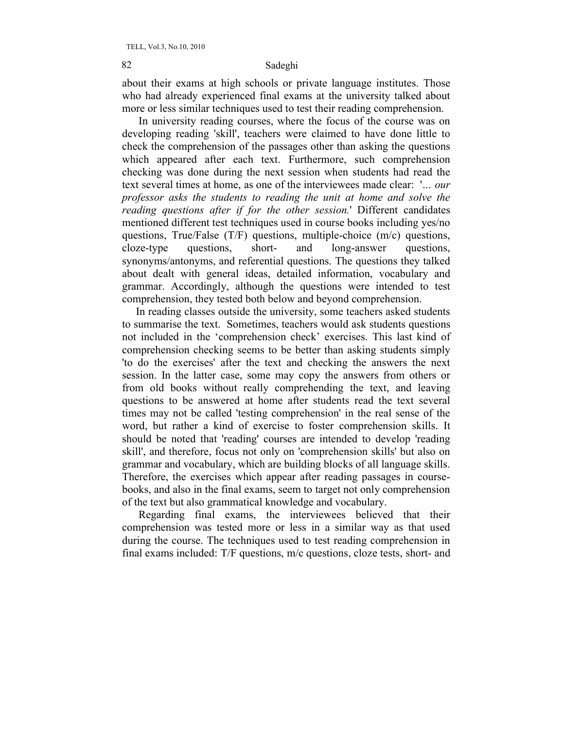about their exams at high schools or private language institutes. Those who had already experienced final exams at the university talked about more or less similar techniques used to test their reading comprehension.

 In university reading courses, where the focus of the course was on developing reading 'skill', teachers were claimed to have done little to check the comprehension of the passages other than asking the questions which appeared after each text. Furthermore, such comprehension checking was done during the next session when students had read the text several times at home, as one of the interviewees made clear: '*… our professor asks the students to reading the unit at home and solve the reading questions after if for the other session.*' Different candidates mentioned different test techniques used in course books including yes/no questions, True/False (T/F) questions, multiple-choice (m/c) questions, cloze-type questions, short- and long-answer questions, synonyms/antonyms, and referential questions. The questions they talked about dealt with general ideas, detailed information, vocabulary and grammar. Accordingly, although the questions were intended to test comprehension, they tested both below and beyond comprehension.

 In reading classes outside the university, some teachers asked students to summarise the text. Sometimes, teachers would ask students questions not included in the 'comprehension check' exercises. This last kind of comprehension checking seems to be better than asking students simply 'to do the exercises' after the text and checking the answers the next session. In the latter case, some may copy the answers from others or from old books without really comprehending the text, and leaving questions to be answered at home after students read the text several times may not be called 'testing comprehension' in the real sense of the word, but rather a kind of exercise to foster comprehension skills. It should be noted that 'reading' courses are intended to develop 'reading skill', and therefore, focus not only on 'comprehension skills' but also on grammar and vocabulary, which are building blocks of all language skills. Therefore, the exercises which appear after reading passages in coursebooks, and also in the final exams, seem to target not only comprehension of the text but also grammatical knowledge and vocabulary.

 Regarding final exams, the interviewees believed that their comprehension was tested more or less in a similar way as that used during the course. The techniques used to test reading comprehension in final exams included: T/F questions, m/c questions, cloze tests, short- and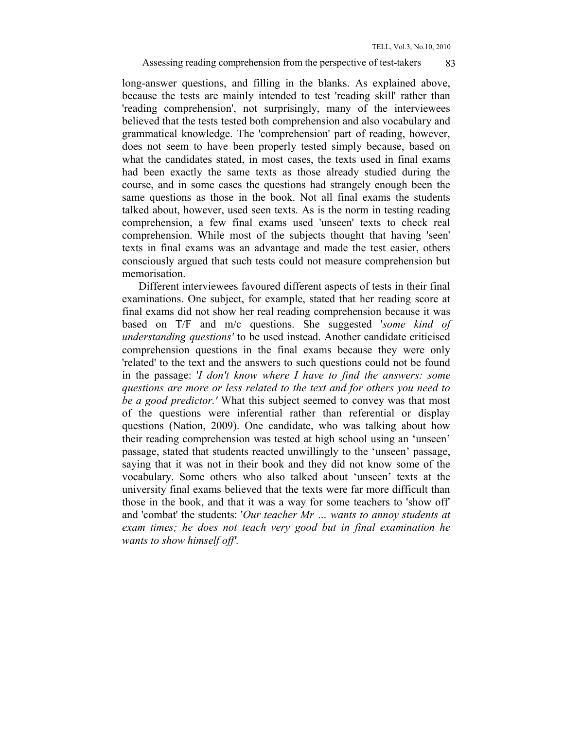### Assessing reading comprehension from the perspective of test-takers 83

long-answer questions, and filling in the blanks. As explained above, because the tests are mainly intended to test 'reading skill' rather than 'reading comprehension', not surprisingly, many of the interviewees believed that the tests tested both comprehension and also vocabulary and grammatical knowledge. The 'comprehension' part of reading, however, does not seem to have been properly tested simply because, based on what the candidates stated, in most cases, the texts used in final exams had been exactly the same texts as those already studied during the course, and in some cases the questions had strangely enough been the same questions as those in the book. Not all final exams the students talked about, however, used seen texts. As is the norm in testing reading comprehension, a few final exams used 'unseen' texts to check real comprehension. While most of the subjects thought that having 'seen' texts in final exams was an advantage and made the test easier, others consciously argued that such tests could not measure comprehension but memorisation.

 Different interviewees favoured different aspects of tests in their final examinations. One subject, for example, stated that her reading score at final exams did not show her real reading comprehension because it was based on T/F and m/c questions. She suggested '*some kind of understanding questions'* to be used instead. Another candidate criticised comprehension questions in the final exams because they were only 'related' to the text and the answers to such questions could not be found in the passage: '*I don't know where I have to find the answers: some questions are more or less related to the text and for others you need to be a good predictor.'* What this subject seemed to convey was that most of the questions were inferential rather than referential or display questions (Nation, 2009). One candidate, who was talking about how their reading comprehension was tested at high school using an 'unseen' passage, stated that students reacted unwillingly to the 'unseen' passage, saying that it was not in their book and they did not know some of the vocabulary. Some others who also talked about 'unseen' texts at the university final exams believed that the texts were far more difficult than those in the book, and that it was a way for some teachers to 'show off' and 'combat' the students: '*Our teacher Mr … wants to annoy students at exam times; he does not teach very good but in final examination he wants to show himself off'.*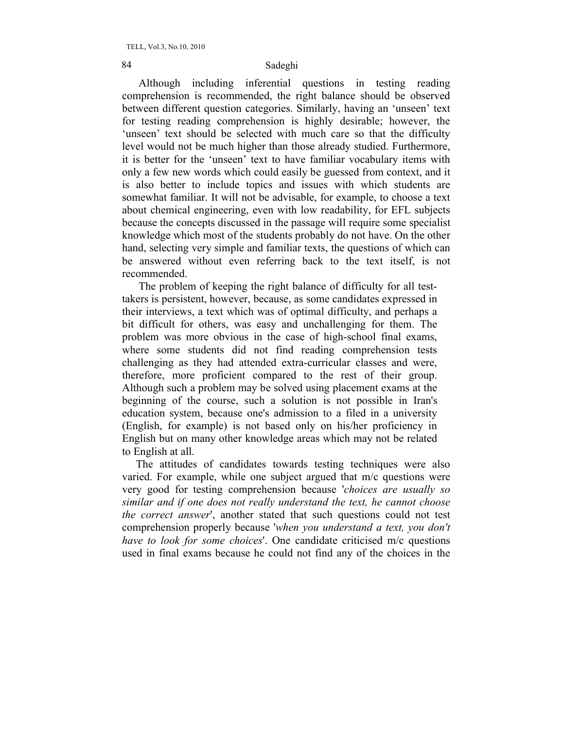Although including inferential questions in testing reading comprehension is recommended, the right balance should be observed between different question categories. Similarly, having an 'unseen' text for testing reading comprehension is highly desirable; however, the 'unseen' text should be selected with much care so that the difficulty level would not be much higher than those already studied. Furthermore, it is better for the 'unseen' text to have familiar vocabulary items with only a few new words which could easily be guessed from context, and it is also better to include topics and issues with which students are somewhat familiar. It will not be advisable, for example, to choose a text about chemical engineering, even with low readability, for EFL subjects because the concepts discussed in the passage will require some specialist knowledge which most of the students probably do not have. On the other hand, selecting very simple and familiar texts, the questions of which can be answered without even referring back to the text itself, is not recommended.

 The problem of keeping the right balance of difficulty for all testtakers is persistent, however, because, as some candidates expressed in their interviews, a text which was of optimal difficulty, and perhaps a bit difficult for others, was easy and unchallenging for them. The problem was more obvious in the case of high-school final exams, where some students did not find reading comprehension tests challenging as they had attended extra-curricular classes and were, therefore, more proficient compared to the rest of their group. Although such a problem may be solved using placement exams at the beginning of the course, such a solution is not possible in Iran's education system, because one's admission to a filed in a university (English, for example) is not based only on his/her proficiency in English but on many other knowledge areas which may not be related to English at all.

 The attitudes of candidates towards testing techniques were also varied. For example, while one subject argued that m/c questions were very good for testing comprehension because '*choices are usually so similar and if one does not really understand the text, he cannot choose the correct answer*', another stated that such questions could not test comprehension properly because '*when you understand a text, you don't have to look for some choices*'. One candidate criticised m/c questions used in final exams because he could not find any of the choices in the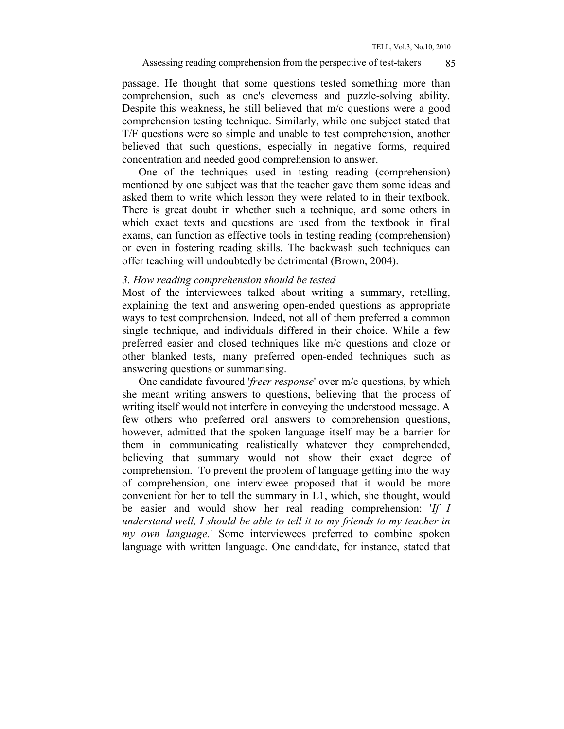#### Assessing reading comprehension from the perspective of test-takers 85

passage. He thought that some questions tested something more than comprehension, such as one's cleverness and puzzle-solving ability. Despite this weakness, he still believed that m/c questions were a good comprehension testing technique. Similarly, while one subject stated that T/F questions were so simple and unable to test comprehension, another believed that such questions, especially in negative forms, required concentration and needed good comprehension to answer.

 One of the techniques used in testing reading (comprehension) mentioned by one subject was that the teacher gave them some ideas and asked them to write which lesson they were related to in their textbook. There is great doubt in whether such a technique, and some others in which exact texts and questions are used from the textbook in final exams, can function as effective tools in testing reading (comprehension) or even in fostering reading skills. The backwash such techniques can offer teaching will undoubtedly be detrimental (Brown, 2004).

### *3. How reading comprehension should be tested*

Most of the interviewees talked about writing a summary, retelling, explaining the text and answering open-ended questions as appropriate ways to test comprehension. Indeed, not all of them preferred a common single technique, and individuals differed in their choice. While a few preferred easier and closed techniques like m/c questions and cloze or other blanked tests, many preferred open-ended techniques such as answering questions or summarising.

 One candidate favoured '*freer response*' over m/c questions, by which she meant writing answers to questions, believing that the process of writing itself would not interfere in conveying the understood message. A few others who preferred oral answers to comprehension questions, however, admitted that the spoken language itself may be a barrier for them in communicating realistically whatever they comprehended, believing that summary would not show their exact degree of comprehension. To prevent the problem of language getting into the way of comprehension, one interviewee proposed that it would be more convenient for her to tell the summary in L1, which, she thought, would be easier and would show her real reading comprehension: '*If I understand well, I should be able to tell it to my friends to my teacher in my own language.*' Some interviewees preferred to combine spoken language with written language. One candidate, for instance, stated that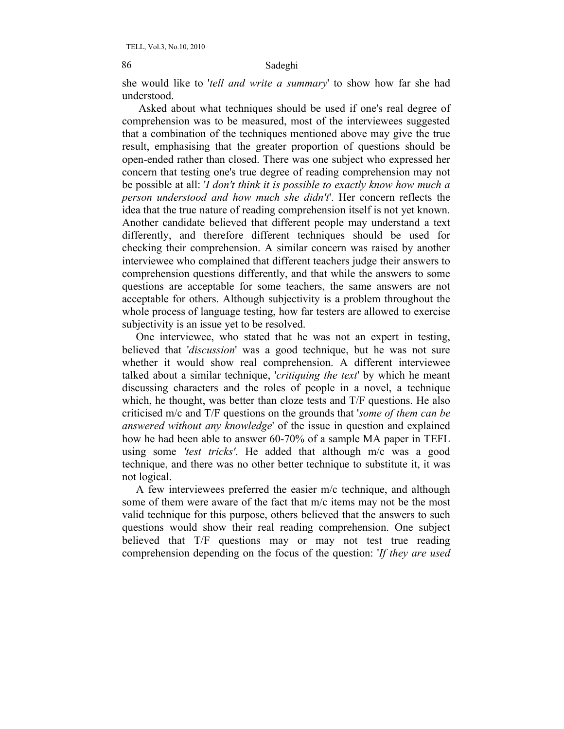she would like to '*tell and write a summary*' to show how far she had understood.

 Asked about what techniques should be used if one's real degree of comprehension was to be measured, most of the interviewees suggested that a combination of the techniques mentioned above may give the true result, emphasising that the greater proportion of questions should be open-ended rather than closed. There was one subject who expressed her concern that testing one's true degree of reading comprehension may not be possible at all: '*I don't think it is possible to exactly know how much a person understood and how much she didn't*'. Her concern reflects the idea that the true nature of reading comprehension itself is not yet known. Another candidate believed that different people may understand a text differently, and therefore different techniques should be used for checking their comprehension. A similar concern was raised by another interviewee who complained that different teachers judge their answers to comprehension questions differently, and that while the answers to some questions are acceptable for some teachers, the same answers are not acceptable for others. Although subjectivity is a problem throughout the whole process of language testing, how far testers are allowed to exercise subjectivity is an issue yet to be resolved.

 One interviewee, who stated that he was not an expert in testing, believed that '*discussion*' was a good technique, but he was not sure whether it would show real comprehension. A different interviewee talked about a similar technique, '*critiquing the text*' by which he meant discussing characters and the roles of people in a novel, a technique which, he thought, was better than cloze tests and T/F questions. He also criticised m/c and T/F questions on the grounds that '*some of them can be answered without any knowledge*' of the issue in question and explained how he had been able to answer 60-70% of a sample MA paper in TEFL using some *'test tricks'*. He added that although m/c was a good technique, and there was no other better technique to substitute it, it was not logical.

 A few interviewees preferred the easier m/c technique, and although some of them were aware of the fact that m/c items may not be the most valid technique for this purpose, others believed that the answers to such questions would show their real reading comprehension. One subject believed that T/F questions may or may not test true reading comprehension depending on the focus of the question: '*If they are used*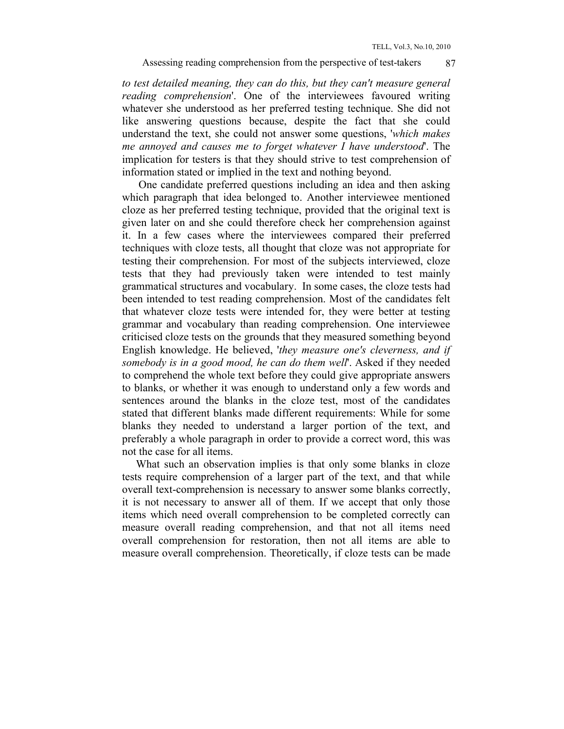*to test detailed meaning, they can do this, but they can't measure general reading comprehension*'. One of the interviewees favoured writing whatever she understood as her preferred testing technique. She did not like answering questions because, despite the fact that she could understand the text, she could not answer some questions, '*which makes me annoyed and causes me to forget whatever I have understood*'. The implication for testers is that they should strive to test comprehension of information stated or implied in the text and nothing beyond.

 One candidate preferred questions including an idea and then asking which paragraph that idea belonged to. Another interviewee mentioned cloze as her preferred testing technique, provided that the original text is given later on and she could therefore check her comprehension against it. In a few cases where the interviewees compared their preferred techniques with cloze tests, all thought that cloze was not appropriate for testing their comprehension. For most of the subjects interviewed, cloze tests that they had previously taken were intended to test mainly grammatical structures and vocabulary. In some cases, the cloze tests had been intended to test reading comprehension. Most of the candidates felt that whatever cloze tests were intended for, they were better at testing grammar and vocabulary than reading comprehension. One interviewee criticised cloze tests on the grounds that they measured something beyond English knowledge. He believed, '*they measure one's cleverness, and if somebody is in a good mood, he can do them well*'. Asked if they needed to comprehend the whole text before they could give appropriate answers to blanks, or whether it was enough to understand only a few words and sentences around the blanks in the cloze test, most of the candidates stated that different blanks made different requirements: While for some blanks they needed to understand a larger portion of the text, and preferably a whole paragraph in order to provide a correct word, this was not the case for all items.

 What such an observation implies is that only some blanks in cloze tests require comprehension of a larger part of the text, and that while overall text-comprehension is necessary to answer some blanks correctly, it is not necessary to answer all of them. If we accept that only those items which need overall comprehension to be completed correctly can measure overall reading comprehension, and that not all items need overall comprehension for restoration, then not all items are able to measure overall comprehension. Theoretically, if cloze tests can be made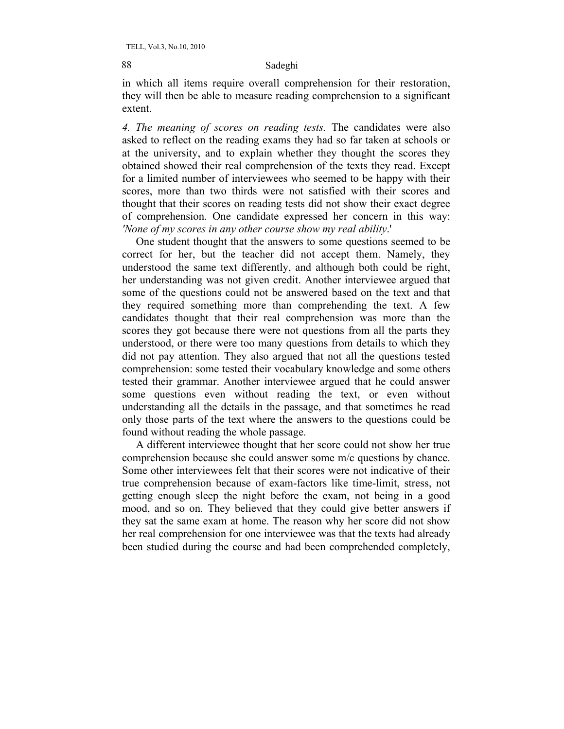in which all items require overall comprehension for their restoration, they will then be able to measure reading comprehension to a significant extent.

*4. The meaning of scores on reading tests.* The candidates were also asked to reflect on the reading exams they had so far taken at schools or at the university, and to explain whether they thought the scores they obtained showed their real comprehension of the texts they read. Except for a limited number of interviewees who seemed to be happy with their scores, more than two thirds were not satisfied with their scores and thought that their scores on reading tests did not show their exact degree of comprehension. One candidate expressed her concern in this way: *'None of my scores in any other course show my real ability*.'

 One student thought that the answers to some questions seemed to be correct for her, but the teacher did not accept them. Namely, they understood the same text differently, and although both could be right, her understanding was not given credit. Another interviewee argued that some of the questions could not be answered based on the text and that they required something more than comprehending the text. A few candidates thought that their real comprehension was more than the scores they got because there were not questions from all the parts they understood, or there were too many questions from details to which they did not pay attention. They also argued that not all the questions tested comprehension: some tested their vocabulary knowledge and some others tested their grammar. Another interviewee argued that he could answer some questions even without reading the text, or even without understanding all the details in the passage, and that sometimes he read only those parts of the text where the answers to the questions could be found without reading the whole passage.

 A different interviewee thought that her score could not show her true comprehension because she could answer some m/c questions by chance. Some other interviewees felt that their scores were not indicative of their true comprehension because of exam-factors like time-limit, stress, not getting enough sleep the night before the exam, not being in a good mood, and so on. They believed that they could give better answers if they sat the same exam at home. The reason why her score did not show her real comprehension for one interviewee was that the texts had already been studied during the course and had been comprehended completely,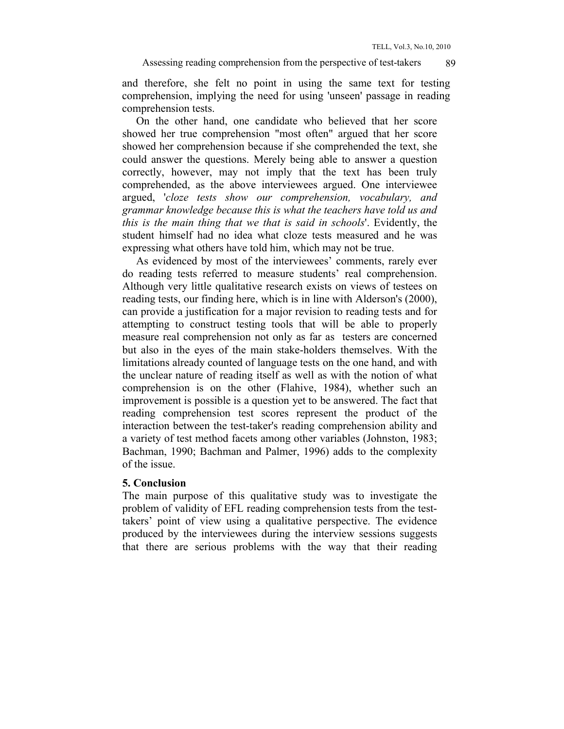TELL, Vol.3, No.10, 2010

and therefore, she felt no point in using the same text for testing comprehension, implying the need for using 'unseen' passage in reading comprehension tests.

 On the other hand, one candidate who believed that her score showed her true comprehension "most often" argued that her score showed her comprehension because if she comprehended the text, she could answer the questions. Merely being able to answer a question correctly, however, may not imply that the text has been truly comprehended, as the above interviewees argued. One interviewee argued, '*cloze tests show our comprehension, vocabulary, and grammar knowledge because this is what the teachers have told us and this is the main thing that we that is said in schools*'. Evidently, the student himself had no idea what cloze tests measured and he was expressing what others have told him, which may not be true.

 As evidenced by most of the interviewees' comments, rarely ever do reading tests referred to measure students' real comprehension. Although very little qualitative research exists on views of testees on reading tests, our finding here, which is in line with Alderson's (2000), can provide a justification for a major revision to reading tests and for attempting to construct testing tools that will be able to properly measure real comprehension not only as far as testers are concerned but also in the eyes of the main stake-holders themselves. With the limitations already counted of language tests on the one hand, and with the unclear nature of reading itself as well as with the notion of what comprehension is on the other (Flahive, 1984), whether such an improvement is possible is a question yet to be answered. The fact that reading comprehension test scores represent the product of the interaction between the test-taker's reading comprehension ability and a variety of test method facets among other variables (Johnston, 1983; Bachman, 1990; Bachman and Palmer, 1996) adds to the complexity of the issue.

## **5. Conclusion**

The main purpose of this qualitative study was to investigate the problem of validity of EFL reading comprehension tests from the testtakers' point of view using a qualitative perspective. The evidence produced by the interviewees during the interview sessions suggests that there are serious problems with the way that their reading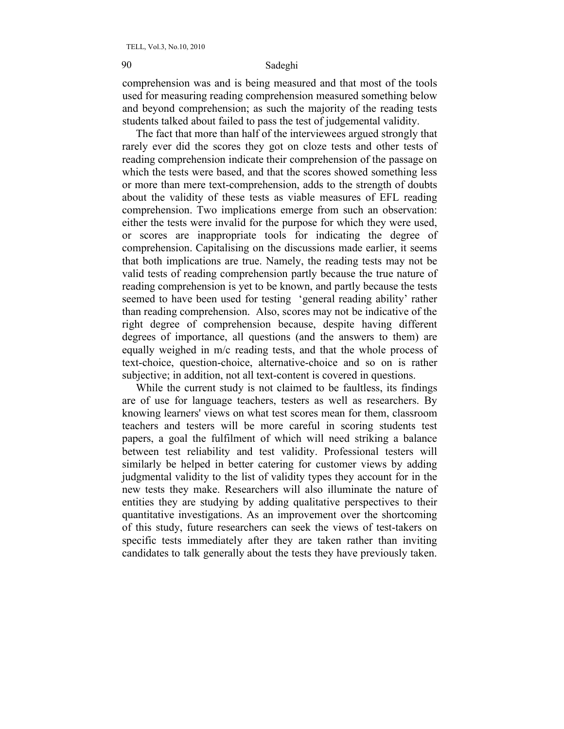comprehension was and is being measured and that most of the tools used for measuring reading comprehension measured something below and beyond comprehension; as such the majority of the reading tests students talked about failed to pass the test of judgemental validity.

 The fact that more than half of the interviewees argued strongly that rarely ever did the scores they got on cloze tests and other tests of reading comprehension indicate their comprehension of the passage on which the tests were based, and that the scores showed something less or more than mere text-comprehension, adds to the strength of doubts about the validity of these tests as viable measures of EFL reading comprehension. Two implications emerge from such an observation: either the tests were invalid for the purpose for which they were used, or scores are inappropriate tools for indicating the degree of comprehension. Capitalising on the discussions made earlier, it seems that both implications are true. Namely, the reading tests may not be valid tests of reading comprehension partly because the true nature of reading comprehension is yet to be known, and partly because the tests seemed to have been used for testing 'general reading ability' rather than reading comprehension. Also, scores may not be indicative of the right degree of comprehension because, despite having different degrees of importance, all questions (and the answers to them) are equally weighed in m/c reading tests, and that the whole process of text-choice, question-choice, alternative-choice and so on is rather subjective; in addition, not all text-content is covered in questions.

 While the current study is not claimed to be faultless, its findings are of use for language teachers, testers as well as researchers. By knowing learners' views on what test scores mean for them, classroom teachers and testers will be more careful in scoring students test papers, a goal the fulfilment of which will need striking a balance between test reliability and test validity. Professional testers will similarly be helped in better catering for customer views by adding judgmental validity to the list of validity types they account for in the new tests they make. Researchers will also illuminate the nature of entities they are studying by adding qualitative perspectives to their quantitative investigations. As an improvement over the shortcoming of this study, future researchers can seek the views of test-takers on specific tests immediately after they are taken rather than inviting candidates to talk generally about the tests they have previously taken.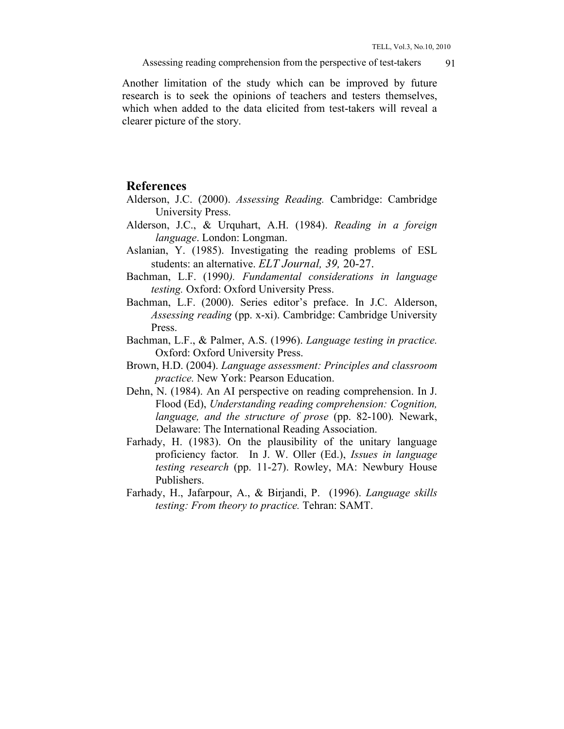Another limitation of the study which can be improved by future research is to seek the opinions of teachers and testers themselves, which when added to the data elicited from test-takers will reveal a clearer picture of the story.

## **References**

- Alderson, J.C. (2000). *Assessing Reading.* Cambridge: Cambridge University Press.
- Alderson, J.C., & Urquhart, A.H. (1984). *Reading in a foreign language*. London: Longman.
- Aslanian, Y. (1985). Investigating the reading problems of ESL students: an alternative. *ELT Journal, 39,* 20-27.
- Bachman, L.F. (1990*). Fundamental considerations in language testing.* Oxford: Oxford University Press.
- Bachman, L.F. (2000). Series editor's preface. In J.C. Alderson, *Assessing reading* (pp. x-xi). Cambridge: Cambridge University Press.
- Bachman, L.F., & Palmer, A.S. (1996). *Language testing in practice.* Oxford: Oxford University Press.
- Brown, H.D. (2004). *Language assessment: Principles and classroom practice.* New York: Pearson Education.
- Dehn, N. (1984). An AI perspective on reading comprehension. In J. Flood (Ed), *Understanding reading comprehension: Cognition, language, and the structure of prose* (pp. 82-100)*.* Newark, Delaware: The International Reading Association.
- Farhady, H. (1983). On the plausibility of the unitary language proficiency factor*.* In J. W. Oller (Ed.), *Issues in language testing research* (pp. 11-27). Rowley, MA: Newbury House Publishers.
- Farhady, H., Jafarpour, A., & Birjandi, P. (1996). *Language skills testing: From theory to practice.* Tehran: SAMT.